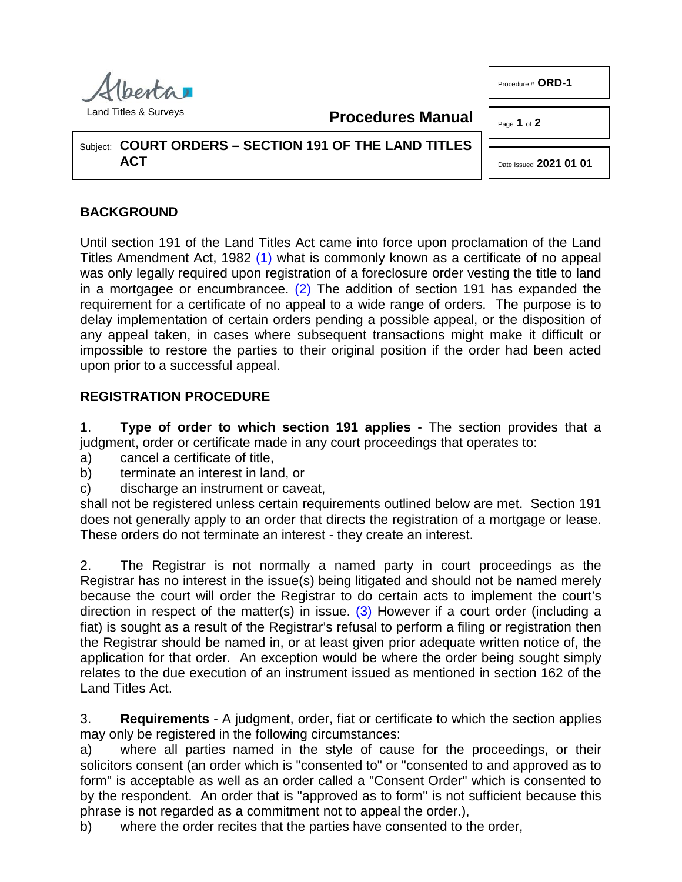

Procedure # **ORD-1**

Land Titles & Surveys

<span id="page-0-1"></span><span id="page-0-0"></span>**Procedures Manual**

Page **1** of **2**

Subject: **COURT ORDERS – SECTION 191 OF THE LAND TITLES ACT**

Date Issued **2021 01 01**

## **BACKGROUND**

Until section 191 of the Land Titles Act came into force upon proclamation of the Land Titles Amendment Act, 1982 [\(1\)](#page-1-0) what is commonly known as a certificate of no appeal was only legally required upon registration of a foreclosure order vesting the title to land in a mortgagee or encumbrancee.  $(2)$  The addition of section 191 has expanded the requirement for a certificate of no appeal to a wide range of orders. The purpose is to delay implementation of certain orders pending a possible appeal, or the disposition of any appeal taken, in cases where subsequent transactions might make it difficult or impossible to restore the parties to their original position if the order had been acted upon prior to a successful appeal.

## **REGISTRATION PROCEDURE**

1. **Type of order to which section 191 applies** - The section provides that a judgment, order or certificate made in any court proceedings that operates to:

- a) cancel a certificate of title,
- b) terminate an interest in land, or
- c) discharge an instrument or caveat,

shall not be registered unless certain requirements outlined below are met. Section 191 does not generally apply to an order that directs the registration of a mortgage or lease. These orders do not terminate an interest - they create an interest.

<span id="page-0-2"></span>2. The Registrar is not normally a named party in court proceedings as the Registrar has no interest in the issue(s) being litigated and should not be named merely because the court will order the Registrar to do certain acts to implement the court's direction in respect of the matter(s) in issue. [\(3\)](#page-1-2) However if a court order (including a fiat) is sought as a result of the Registrar's refusal to perform a filing or registration then the Registrar should be named in, or at least given prior adequate written notice of, the application for that order. An exception would be where the order being sought simply relates to the due execution of an instrument issued as mentioned in section 162 of the Land Titles Act.

3. **Requirements** - A judgment, order, fiat or certificate to which the section applies may only be registered in the following circumstances:

a) where all parties named in the style of cause for the proceedings, or their solicitors consent (an order which is "consented to" or "consented to and approved as to form" is acceptable as well as an order called a "Consent Order" which is consented to by the respondent. An order that is "approved as to form" is not sufficient because this phrase is not regarded as a commitment not to appeal the order.),

b) where the order recites that the parties have consented to the order,